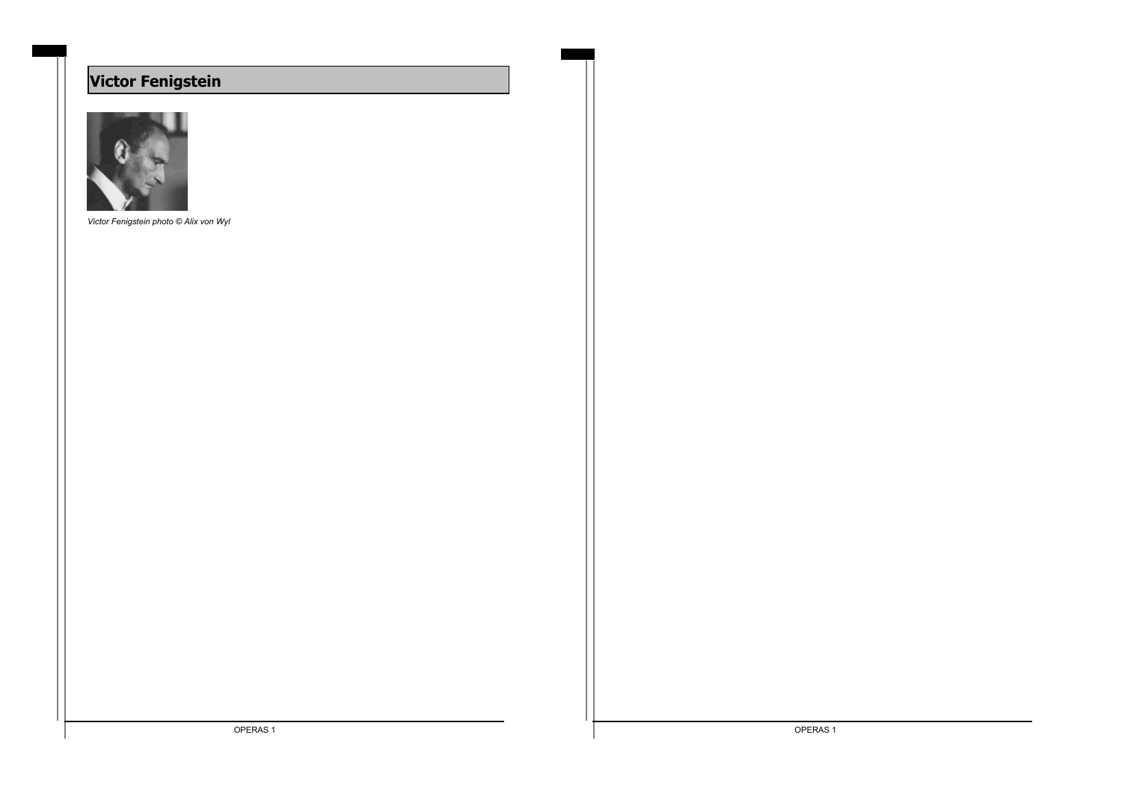# **Victor Fenigstein**



*Victor Fenigstein photo © Alix von Wyl*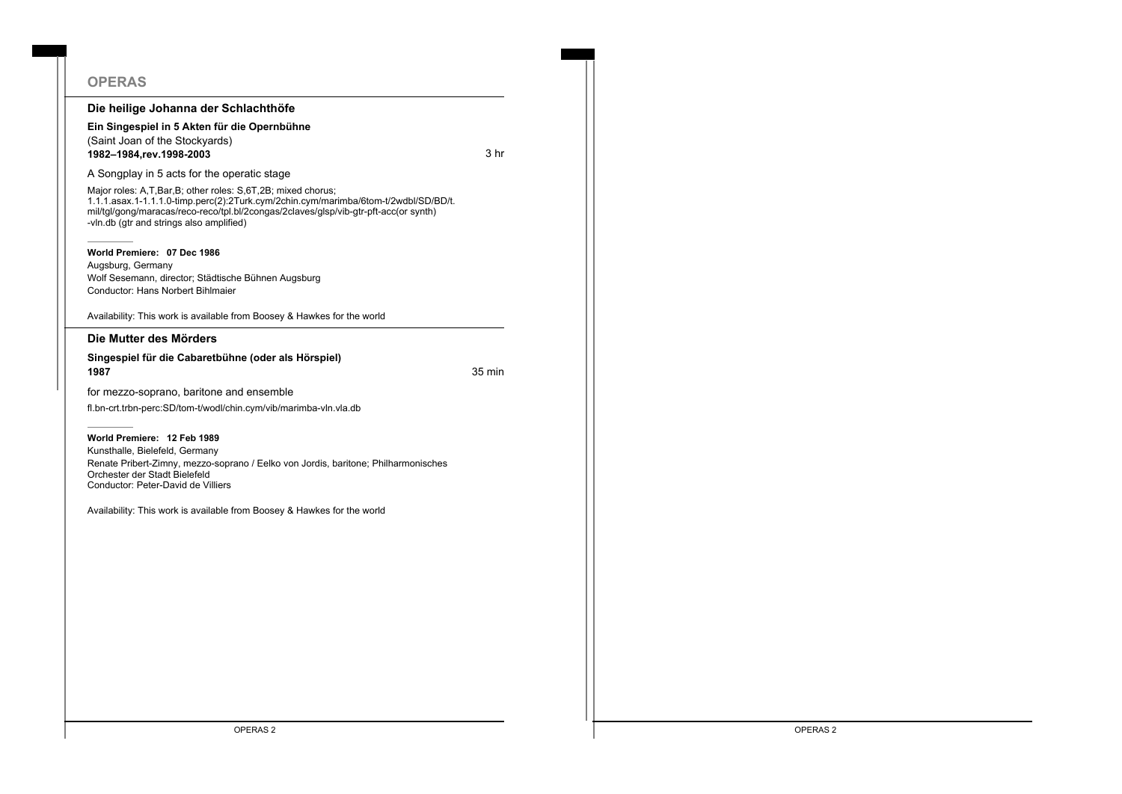| <b>OPERAS</b>                                                                                                                                                                                                                                                                          |        |
|----------------------------------------------------------------------------------------------------------------------------------------------------------------------------------------------------------------------------------------------------------------------------------------|--------|
| Die heilige Johanna der Schlachthöfe                                                                                                                                                                                                                                                   |        |
| Ein Singespiel in 5 Akten für die Opernbühne<br>(Saint Joan of the Stockyards)<br>1982-1984, rev. 1998-2003                                                                                                                                                                            | 3 hr   |
| A Songplay in 5 acts for the operatic stage                                                                                                                                                                                                                                            |        |
| Major roles: A.T.Bar.B; other roles: S.6T.2B; mixed chorus;<br>1.1.1.asax.1-1.1.1.0-timp.perc(2):2Turk.cym/2chin.cym/marimba/6tom-t/2wdbl/SD/BD/t.<br>mil/tgl/gong/maracas/reco-reco/tpl.bl/2congas/2claves/glsp/vib-gtr-pft-acc(or synth)<br>-vln.db (qtr and strings also amplified) |        |
| World Premiere: 07 Dec 1986<br>Augsburg, Germany<br>Wolf Sesemann, director; Städtische Bühnen Augsburg<br>Conductor: Hans Norbert Bihlmaier                                                                                                                                           |        |
| Availability: This work is available from Boosey & Hawkes for the world                                                                                                                                                                                                                |        |
| Die Mutter des Mörders                                                                                                                                                                                                                                                                 |        |
| Singespiel für die Cabaretbühne (oder als Hörspiel)<br>1987                                                                                                                                                                                                                            | 35 min |
|                                                                                                                                                                                                                                                                                        |        |
| for mezzo-soprano, baritone and ensemble                                                                                                                                                                                                                                               |        |
| fl.bn-crt.trbn-perc:SD/tom-t/wodl/chin.cym/vib/marimba-vln.vla.db                                                                                                                                                                                                                      |        |
| World Premiere: 12 Feb 1989<br>Kunsthalle, Bielefeld, Germany<br>Renate Pribert-Zimny, mezzo-soprano / Eelko von Jordis, baritone; Philharmonisches<br>Orchester der Stadt Bielefeld<br>Conductor: Peter-David de Villiers                                                             |        |
| Availability: This work is available from Boosey & Hawkes for the world                                                                                                                                                                                                                |        |
|                                                                                                                                                                                                                                                                                        |        |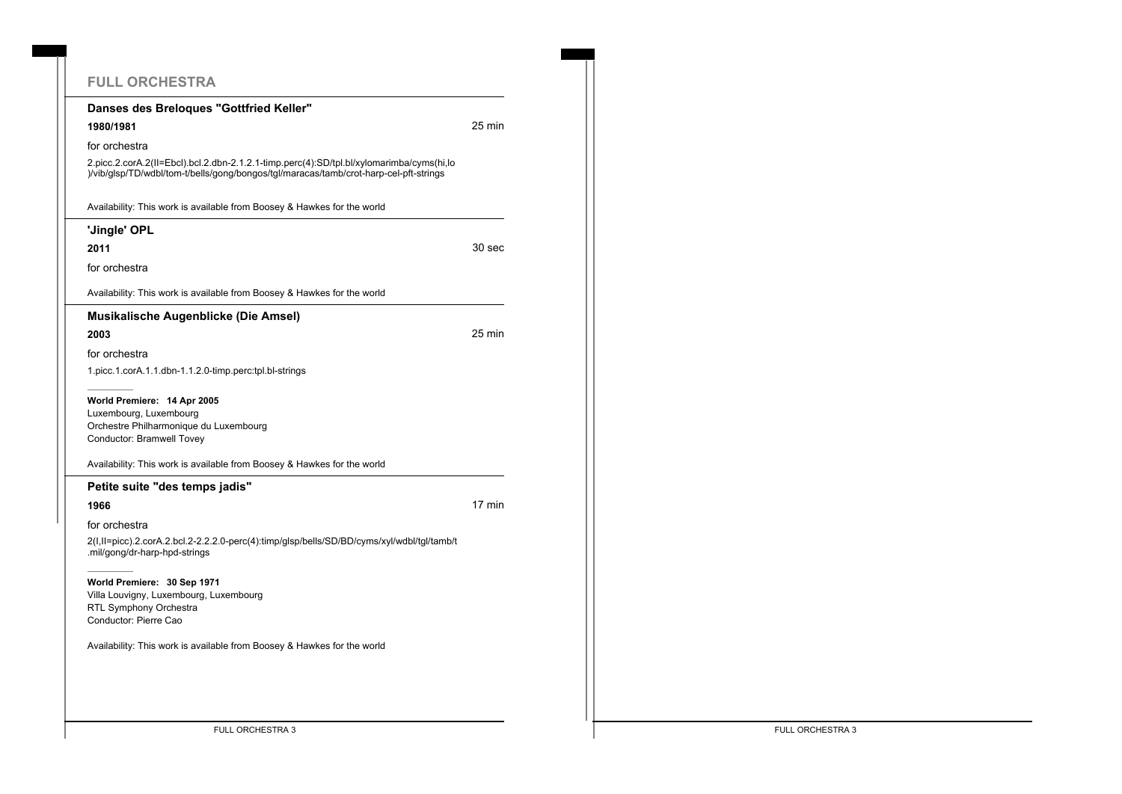# **FULL ORCHESTRA**

| Danses des Breloques "Gottfried Keller"<br>1980/1981<br>for orchestra<br>2.picc.2.corA.2(II=Ebcl).bcl.2.dbn-2.1.2.1-timp.perc(4):SD/tpl.bl/xylomarimba/cyms(hi,lo<br>)/vib/qlsp/TD/wdbl/tom-t/bells/qonq/bonqos/tql/maracas/tamb/crot-harp-cel-pft-strings<br>Availability: This work is available from Boosey & Hawkes for the world<br>'Jingle' OPL<br>2011<br>for orchestra<br>Availability: This work is available from Boosey & Hawkes for the world<br><b>Musikalische Augenblicke (Die Amsel)</b><br>2003<br>for orchestra<br>1.picc.1.corA.1.1.dbn-1.1.2.0-timp.perc:tpl.bl-strings | 25 min<br>30 sec<br>25 min |
|---------------------------------------------------------------------------------------------------------------------------------------------------------------------------------------------------------------------------------------------------------------------------------------------------------------------------------------------------------------------------------------------------------------------------------------------------------------------------------------------------------------------------------------------------------------------------------------------|----------------------------|
|                                                                                                                                                                                                                                                                                                                                                                                                                                                                                                                                                                                             |                            |
|                                                                                                                                                                                                                                                                                                                                                                                                                                                                                                                                                                                             |                            |
|                                                                                                                                                                                                                                                                                                                                                                                                                                                                                                                                                                                             |                            |
|                                                                                                                                                                                                                                                                                                                                                                                                                                                                                                                                                                                             |                            |
|                                                                                                                                                                                                                                                                                                                                                                                                                                                                                                                                                                                             |                            |
|                                                                                                                                                                                                                                                                                                                                                                                                                                                                                                                                                                                             |                            |
|                                                                                                                                                                                                                                                                                                                                                                                                                                                                                                                                                                                             |                            |
|                                                                                                                                                                                                                                                                                                                                                                                                                                                                                                                                                                                             |                            |
|                                                                                                                                                                                                                                                                                                                                                                                                                                                                                                                                                                                             |                            |
|                                                                                                                                                                                                                                                                                                                                                                                                                                                                                                                                                                                             |                            |
|                                                                                                                                                                                                                                                                                                                                                                                                                                                                                                                                                                                             |                            |
|                                                                                                                                                                                                                                                                                                                                                                                                                                                                                                                                                                                             |                            |
|                                                                                                                                                                                                                                                                                                                                                                                                                                                                                                                                                                                             |                            |
| World Premiere: 14 Apr 2005<br>Luxembourg, Luxembourg<br>Orchestre Philharmonique du Luxembourg<br>Conductor: Bramwell Tovey                                                                                                                                                                                                                                                                                                                                                                                                                                                                |                            |
| Availability: This work is available from Boosey & Hawkes for the world                                                                                                                                                                                                                                                                                                                                                                                                                                                                                                                     |                            |
| Petite suite "des temps jadis"                                                                                                                                                                                                                                                                                                                                                                                                                                                                                                                                                              |                            |
| 1966                                                                                                                                                                                                                                                                                                                                                                                                                                                                                                                                                                                        | 17 min                     |
| for orchestra                                                                                                                                                                                                                                                                                                                                                                                                                                                                                                                                                                               |                            |
| 2(I,II=picc).2.corA.2.bcl.2-2.2.2.0-perc(4):timp/glsp/bells/SD/BD/cyms/xyl/wdbl/tgl/tamb/t<br>.mil/gong/dr-harp-hpd-strings                                                                                                                                                                                                                                                                                                                                                                                                                                                                 |                            |
| World Premiere: 30 Sep 1971<br>Villa Louvigny, Luxembourg, Luxembourg<br>RTL Symphony Orchestra<br>Conductor: Pierre Cao                                                                                                                                                                                                                                                                                                                                                                                                                                                                    |                            |
| Availability: This work is available from Boosey & Hawkes for the world                                                                                                                                                                                                                                                                                                                                                                                                                                                                                                                     |                            |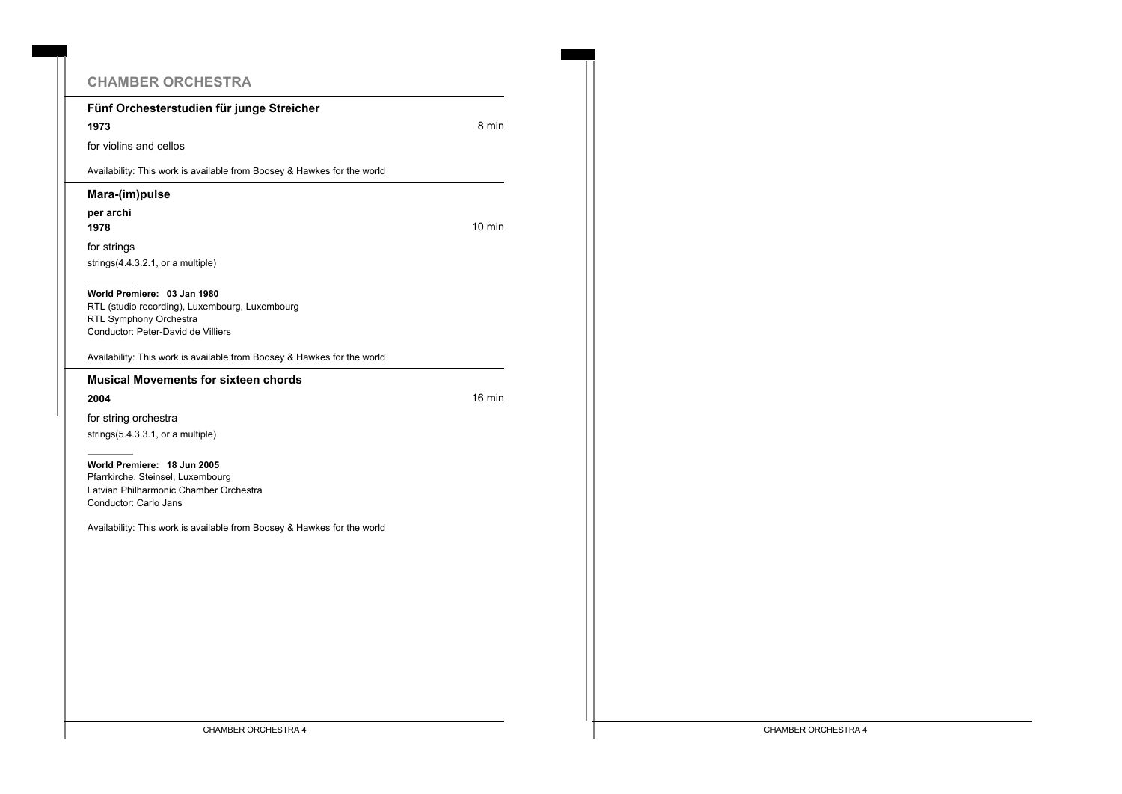| <b>CHAMBER ORCHESTRA</b>                                                                                                                      |                  |
|-----------------------------------------------------------------------------------------------------------------------------------------------|------------------|
| Fünf Orchesterstudien für junge Streicher                                                                                                     |                  |
| 1973                                                                                                                                          | 8 min            |
| for violins and cellos                                                                                                                        |                  |
| Availability: This work is available from Boosey & Hawkes for the world                                                                       |                  |
| Mara-(im)pulse                                                                                                                                |                  |
| per archi                                                                                                                                     |                  |
| 1978                                                                                                                                          | $10 \text{ min}$ |
| for strings                                                                                                                                   |                  |
| strings $(4.4.3.2.1, or a multiple)$                                                                                                          |                  |
| World Premiere: 03 Jan 1980<br>RTL (studio recording), Luxembourg, Luxembourg<br>RTL Symphony Orchestra<br>Conductor: Peter-David de Villiers |                  |
| Availability: This work is available from Boosey & Hawkes for the world                                                                       |                  |
| <b>Musical Movements for sixteen chords</b>                                                                                                   |                  |
| 2004                                                                                                                                          | $16 \text{ min}$ |
| for string orchestra                                                                                                                          |                  |
| strings $(5.4.3.3.1, or a multiple)$                                                                                                          |                  |
| World Premiere: 18 Jun 2005<br>Pfarrkirche, Steinsel, Luxembourg<br>Latvian Philharmonic Chamber Orchestra<br>Conductor: Carlo Jans           |                  |
| Availability: This work is available from Boosey & Hawkes for the world                                                                       |                  |
|                                                                                                                                               |                  |
|                                                                                                                                               |                  |
|                                                                                                                                               |                  |
|                                                                                                                                               |                  |
|                                                                                                                                               |                  |
|                                                                                                                                               |                  |
|                                                                                                                                               |                  |
|                                                                                                                                               |                  |
|                                                                                                                                               |                  |
|                                                                                                                                               |                  |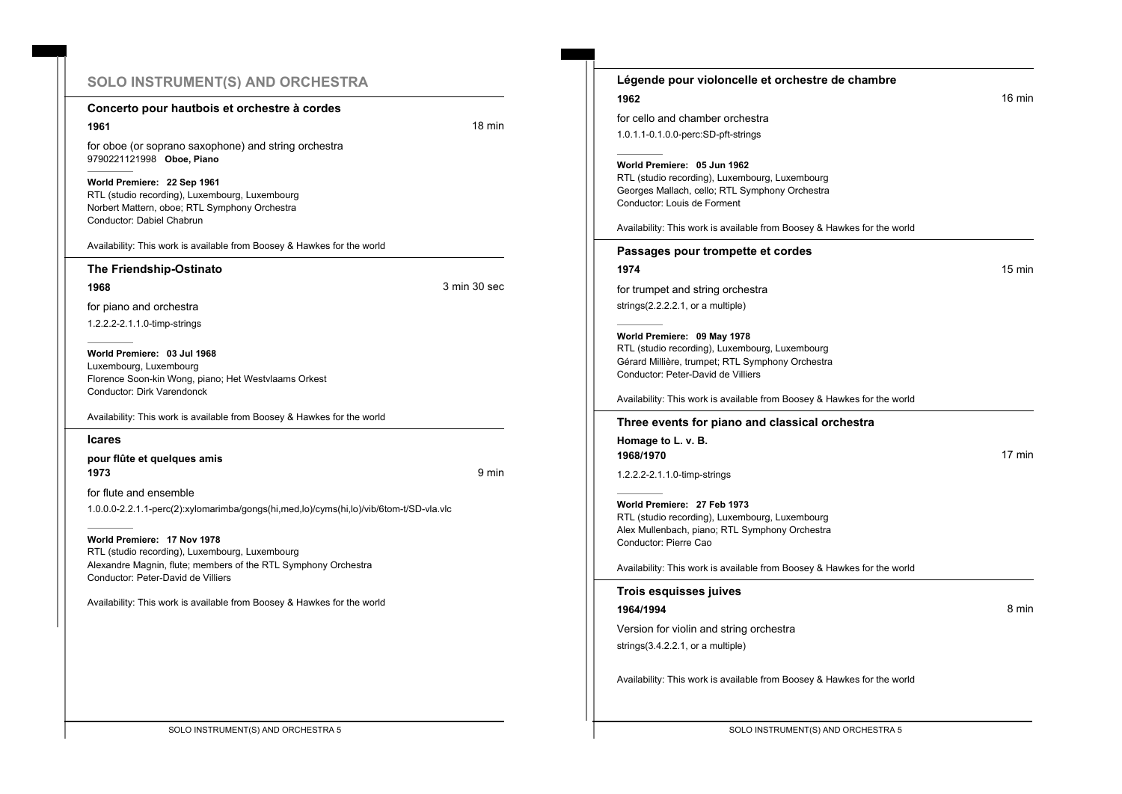# **SOLO INSTRUMENT(S) AND ORCHESTRA**

#### **Concerto pour hautbois et orchestre à cordes**

**1961 18 minutes and the contract of the contract of the contract of the contract of the contract of the contract of the contract of the contract of the contract of the contract of the contract of the contract of the con** 

for oboe (or soprano saxophone) and string orchestra 9790221121998 **Oboe, Piano**

#### **World Premiere: 22 Sep 1961**

RTL (studio recording), Luxembourg, Luxembourg Norbert Mattern, oboe; RTL Symphony Orchestra Conductor: Dabiel Chabrun

Availability: This work is available from Boosey & Hawkes for the world

#### **The Friendship-Ostinato**

**1968** 3 min 30 sec

for piano and orchestra 1.2.2.2-2.1.1.0-timp-strings

**World Premiere: 03 Jul 1968** Luxembourg, Luxembourg Florence Soon-kin Wong, piano; Het Westvlaams Orkest Conductor: Dirk Varendonck

Availability: This work is available from Boosey & Hawkes for the world

#### **Icares**

**pour flûte et quelques amis 1973** 9 min

for flute and ensemble 1.0.0.0-2.2.1.1-perc(2):xylomarimba/gongs(hi,med,lo)/cyms(hi,lo)/vib/6tom-t/SD-vla.vlc

#### **World Premiere: 17 Nov 1978**

RTL (studio recording), Luxembourg, Luxembourg Alexandre Magnin, flute; members of the RTL Symphony Orchestra Conductor: Peter-David de Villiers

| 1962                                                                                                                                                                    |                  |
|-------------------------------------------------------------------------------------------------------------------------------------------------------------------------|------------------|
|                                                                                                                                                                         | $16 \text{ min}$ |
| for cello and chamber orchestra                                                                                                                                         |                  |
| 1.0.1.1-0.1.0.0-perc:SD-pft-strings                                                                                                                                     |                  |
| World Premiere: 05 Jun 1962<br>RTL (studio recording), Luxembourg, Luxembourg<br>Georges Mallach, cello; RTL Symphony Orchestra<br>Conductor: Louis de Forment          |                  |
| Availability: This work is available from Boosey & Hawkes for the world                                                                                                 |                  |
| Passages pour trompette et cordes                                                                                                                                       |                  |
| 1974                                                                                                                                                                    | $15 \text{ min}$ |
| for trumpet and string orchestra                                                                                                                                        |                  |
| strings $(2.2.2.2.1, or a multiple)$                                                                                                                                    |                  |
| World Premiere: 09 May 1978<br>RTL (studio recording), Luxembourg, Luxembourg<br>Gérard Millière, trumpet; RTL Symphony Orchestra<br>Conductor: Peter-David de Villiers |                  |
| Availability: This work is available from Boosey & Hawkes for the world                                                                                                 |                  |
| Three events for piano and classical orchestra                                                                                                                          |                  |
|                                                                                                                                                                         |                  |
| Homage to L. v. B.                                                                                                                                                      |                  |
| 1968/1970                                                                                                                                                               | 17 min           |
| 1.2.2.2-2.1.1.0-timp-strings                                                                                                                                            |                  |
| World Premiere: 27 Feb 1973<br>RTL (studio recording), Luxembourg, Luxembourg<br>Alex Mullenbach, piano; RTL Symphony Orchestra<br>Conductor: Pierre Cao                |                  |
| Availability: This work is available from Boosey & Hawkes for the world                                                                                                 |                  |
| Trois esquisses juives                                                                                                                                                  |                  |
| 1964/1994                                                                                                                                                               | 8 min            |
| Version for violin and string orchestra                                                                                                                                 |                  |
| strings(3.4.2.2.1, or a multiple)                                                                                                                                       |                  |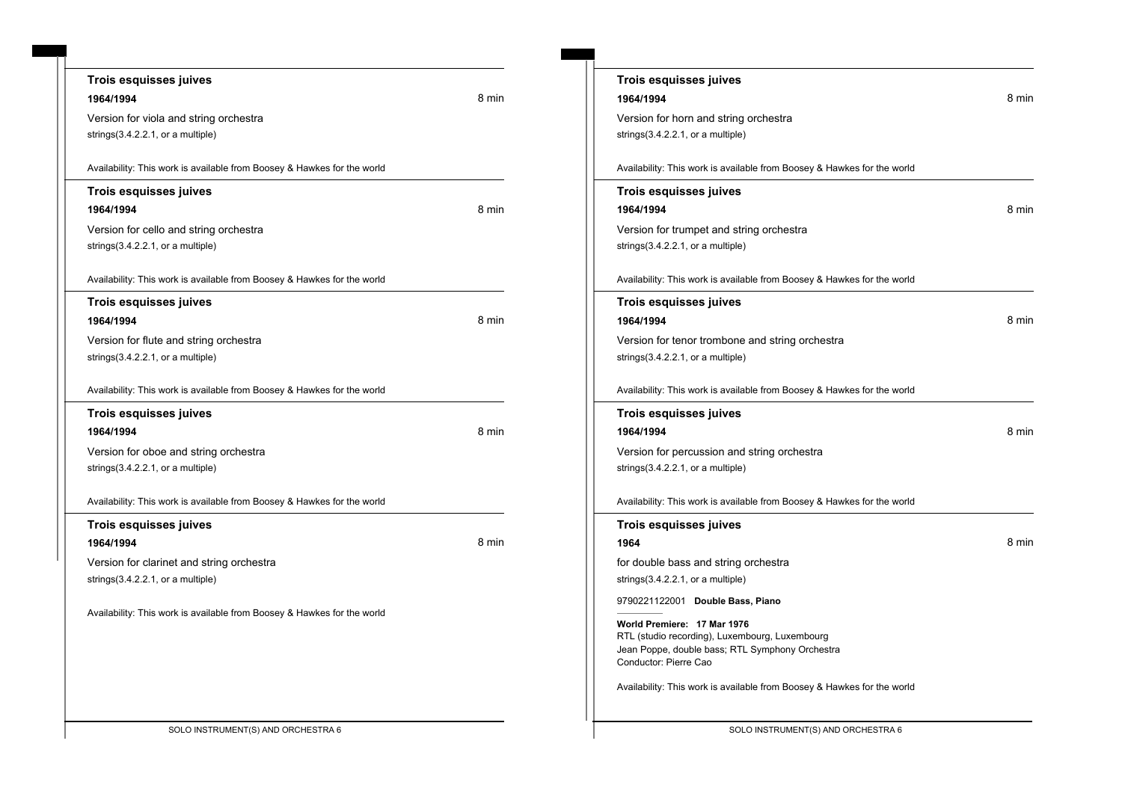| <b>Trois esquisses juives</b>                                           |       |
|-------------------------------------------------------------------------|-------|
| 1964/1994                                                               | 8 min |
| Version for viola and string orchestra                                  |       |
| strings $(3.4.2.2.1, or a multiple)$                                    |       |
|                                                                         |       |
| Availability: This work is available from Boosey & Hawkes for the world |       |
| <b>Trois esquisses juives</b>                                           |       |
| 1964/1994                                                               | 8 min |
| Version for cello and string orchestra                                  |       |
| strings $(3.4.2.2.1, or a multiple)$                                    |       |
|                                                                         |       |
| Availability: This work is available from Boosey & Hawkes for the world |       |
| Trois esquisses juives                                                  |       |
| 1964/1994                                                               | 8 min |
| Version for flute and string orchestra                                  |       |
| strings $(3.4.2.2.1, or a multiple)$                                    |       |
|                                                                         |       |
| Availability: This work is available from Boosey & Hawkes for the world |       |
| <b>Trois esquisses juives</b>                                           |       |
| 1964/1994                                                               | 8 min |
| Version for oboe and string orchestra                                   |       |
| strings(3.4.2.2.1, or a multiple)                                       |       |
|                                                                         |       |
| Availability: This work is available from Boosey & Hawkes for the world |       |
| <b>Trois esquisses juives</b>                                           |       |
| 1964/1994                                                               | 8 min |
| Version for clarinet and string orchestra                               |       |
| strings $(3.4.2.2.1, or a multiple)$                                    |       |
|                                                                         |       |
| Availability: This work is available from Boosey & Hawkes for the world |       |
|                                                                         |       |
|                                                                         |       |
|                                                                         |       |
|                                                                         |       |
|                                                                         |       |
|                                                                         |       |

| <b>Trois esquisses juives</b>                                            |       |
|--------------------------------------------------------------------------|-------|
| 1964/1994                                                                | 8 min |
| Version for horn and string orchestra                                    |       |
| strings(3.4.2.2.1, or a multiple)                                        |       |
|                                                                          |       |
| Availability: This work is available from Boosey & Hawkes for the world  |       |
| Trois esquisses juives                                                   |       |
| 1964/1994                                                                | 8 min |
| Version for trumpet and string orchestra                                 |       |
| strings $(3.4.2.2.1, or a multiple)$                                     |       |
|                                                                          |       |
| Availability: This work is available from Boosey & Hawkes for the world  |       |
| Trois esquisses juives                                                   |       |
| 1964/1994                                                                | 8 min |
| Version for tenor trombone and string orchestra                          |       |
| strings $(3.4.2.2.1, or a multiple)$                                     |       |
|                                                                          |       |
| Availability: This work is available from Boosey & Hawkes for the world  |       |
| Trois esquisses juives                                                   |       |
| 1964/1994                                                                | 8 min |
| Version for percussion and string orchestra                              |       |
| strings $(3.4.2.2.1,$ or a multiple)                                     |       |
|                                                                          |       |
| Availability: This work is available from Boosey & Hawkes for the world  |       |
| Trois esquisses juives                                                   |       |
| 1964                                                                     | 8 min |
| for double bass and string orchestra                                     |       |
| strings(3.4.2.2.1, or a multiple)                                        |       |
| 9790221122001 Double Bass, Piano                                         |       |
| World Premiere: 17 Mar 1976                                              |       |
| RTL (studio recording), Luxembourg, Luxembourg                           |       |
| Jean Poppe, double bass; RTL Symphony Orchestra<br>Conductor: Pierre Cao |       |
|                                                                          |       |
| Availability: This work is available from Boosey & Hawkes for the world  |       |
|                                                                          |       |
|                                                                          |       |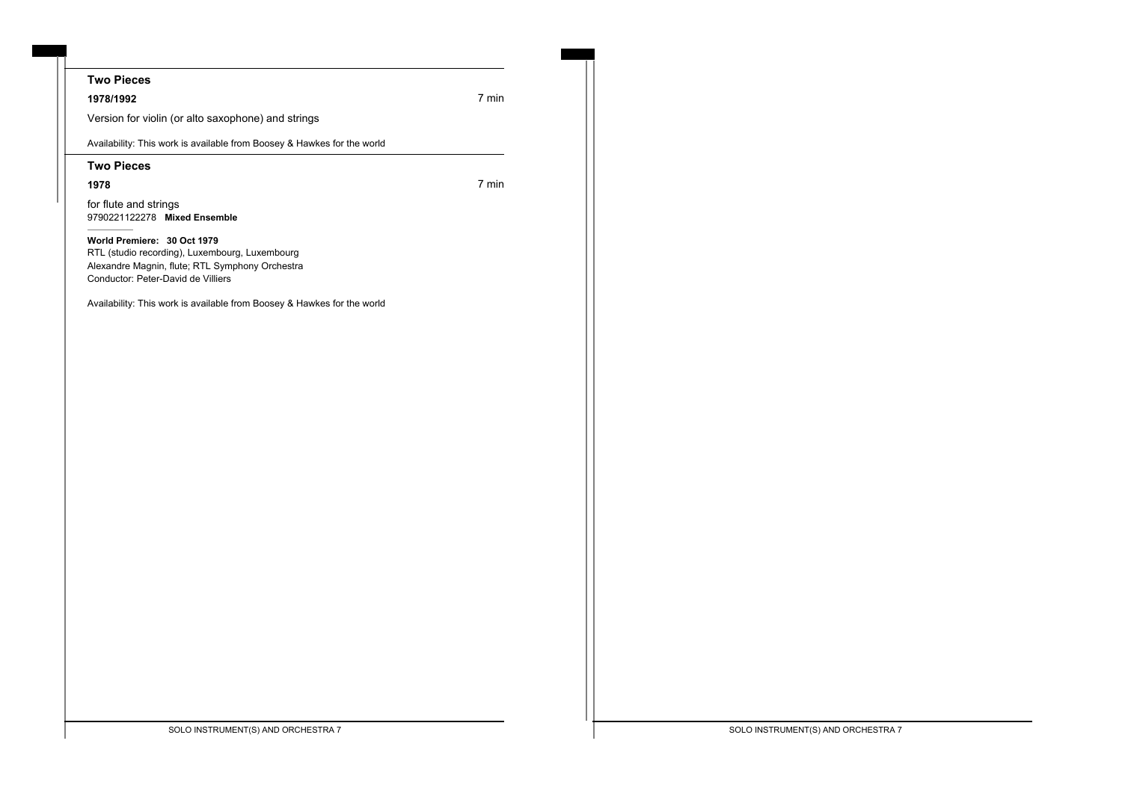## **Two Pieces**

**1978/1992** 7 min

Version for violin (or alto saxophone) and strings

Availability: This work is available from Boosey & Hawkes for the world

#### **Two Pieces**

**1978** 7 min

for flute and strings 9790221122278 **Mixed Ensemble**

**World Premiere: 30 Oct 1979** RTL (studio recording), Luxembourg, Luxembourg Alexandre Magnin, flute; RTL Symphony Orchestra Conductor: Peter-David de Villiers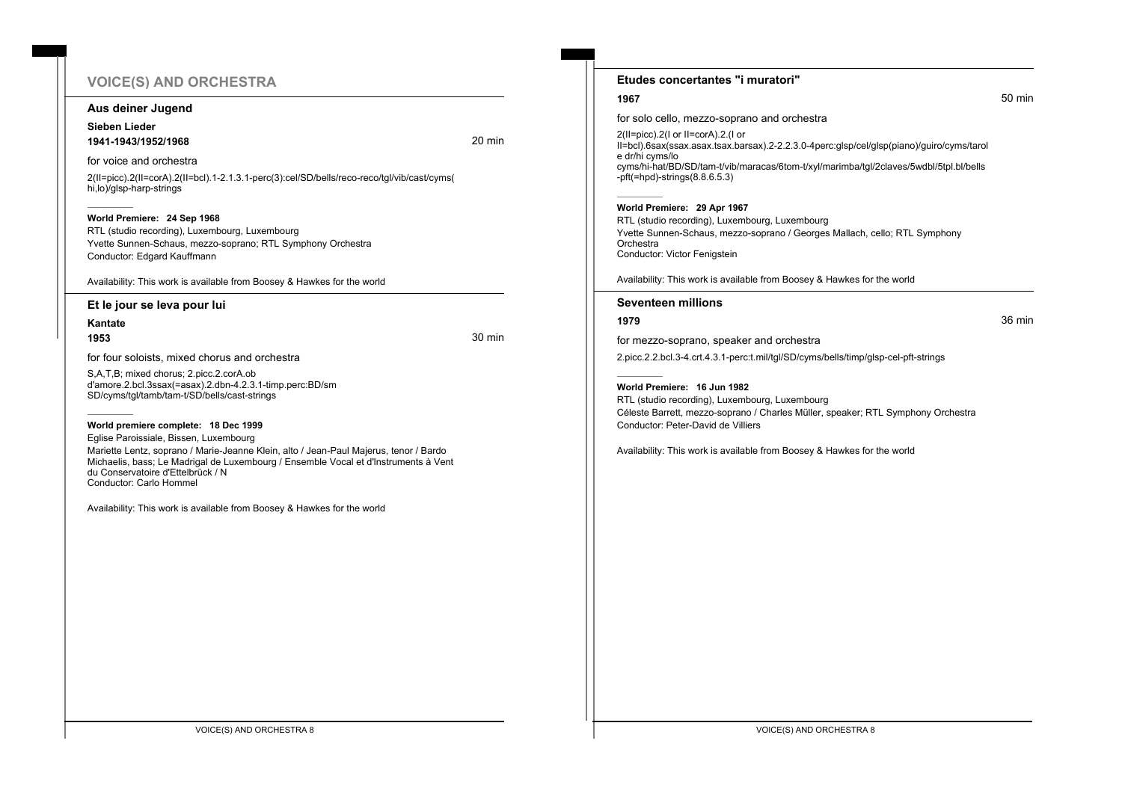# **VOICE(S) AND ORCHESTRA**

#### **Aus deiner Jugend**

#### **Sieben Lieder 1941-1943/1952/1968** 20 min

for voice and orchestra

2(II=picc).2(II=corA).2(II=bcl).1-2.1.3.1-perc(3):cel/SD/bells/reco-reco/tgl/vib/cast/cyms( hi,lo)/glsp-harp-strings

#### **World Premiere: 24 Sep 1968**

RTL (studio recording), Luxembourg, Luxembourg Yvette Sunnen-Schaus, mezzo-soprano; RTL Symphony Orchestra Conductor: Edgard Kauffmann

Availability: This work is available from Boosey & Hawkes for the world

#### **Et le jour se leva pour lui**

**Kantate**

**1953** 30 min

for four soloists, mixed chorus and orchestra

S,A,T,B; mixed chorus; 2.picc.2.corA.ob d'amore.2.bcl.3ssax(=asax).2.dbn-4.2.3.1-timp.perc:BD/sm SD/cyms/tgl/tamb/tam-t/SD/bells/cast-strings

#### **World premiere complete: 18 Dec 1999**

Eglise Paroissiale, Bissen, Luxembourg Mariette Lentz, soprano / Marie-Jeanne Klein, alto / Jean-Paul Majerus, tenor / Bardo Michaelis, bass; Le Madrigal de Luxembourg / Ensemble Vocal et d'lnstruments à Vent du Conservatoire d'Ettelbrück / N Conductor: Carlo Hommel

Availability: This work is available from Boosey & Hawkes for the world

#### **Etudes concertantes "i muratori"**

for solo cello, mezzo-soprano and orchestra

2(II=picc).2(I or II=corA).2.(I or II=bcl).6sax(ssax.asax.tsax.barsax).2-2.2.3.0-4perc:glsp/cel/glsp(piano)/guiro/cyms/tarol e dr/hi cyms/lo cyms/hi-hat/BD/SD/tam-t/vib/maracas/6tom-t/xyl/marimba/tgl/2claves/5wdbl/5tpl.bl/bells -pft(=hpd)-strings(8.8.6.5.3)

#### **World Premiere: 29 Apr 1967**

RTL (studio recording), Luxembourg, Luxembourg Yvette Sunnen-Schaus, mezzo-soprano / Georges Mallach, cello; RTL Symphony **Orchestra** Conductor: Victor Fenigstein

Availability: This work is available from Boosey & Hawkes for the world

#### **Seventeen millions**

**1979** 36 min

for mezzo-soprano, speaker and orchestra 2.picc.2.2.bcl.3-4.crt.4.3.1-perc:t.mil/tgl/SD/cyms/bells/timp/glsp-cel-pft-strings

#### **World Premiere: 16 Jun 1982**

RTL (studio recording), Luxembourg, Luxembourg Céleste Barrett, mezzo-soprano / Charles Müller, speaker; RTL Symphony Orchestra Conductor: Peter-David de Villiers

Availability: This work is available from Boosey & Hawkes for the world

**1967** 50 min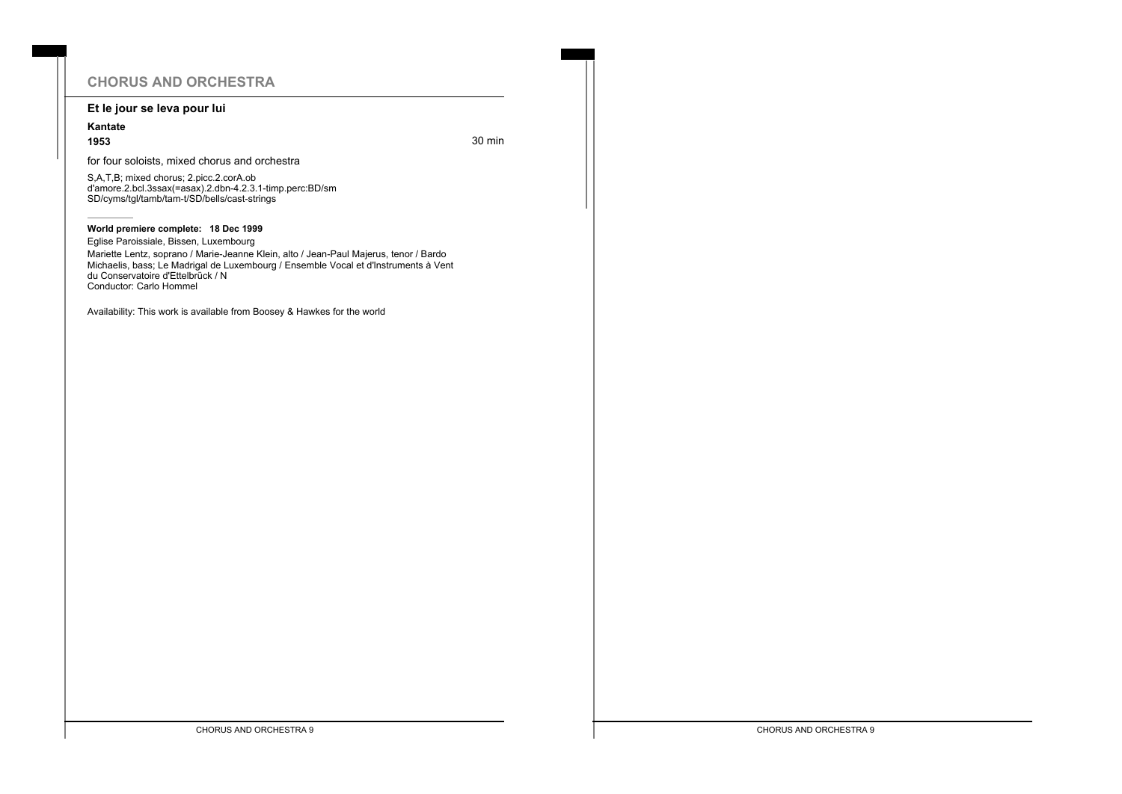# **CHORUS AND ORCHESTRA**

#### **Et le jour se leva pour lui**

# **Kantate**

**1953** 30 min

for four soloists, mixed chorus and orchestra

S,A,T,B; mixed chorus; 2.picc.2.corA.ob d'amore.2.bcl.3ssax(=asax).2.dbn-4.2.3.1-timp.perc:BD/sm SD/cyms/tgl/tamb/tam-t/SD/bells/cast-strings

#### **World premiere complete: 18 Dec 1999**

Eglise Paroissiale, Bissen, Luxembourg

Mariette Lentz, soprano / Marie-Jeanne Klein, alto / Jean-Paul Majerus, tenor / Bardo Michaelis, bass; Le Madrigal de Luxembourg / Ensemble Vocal et d'lnstruments à Vent du Conservatoire d'Ettelbrück / N Conductor: Carlo Hommel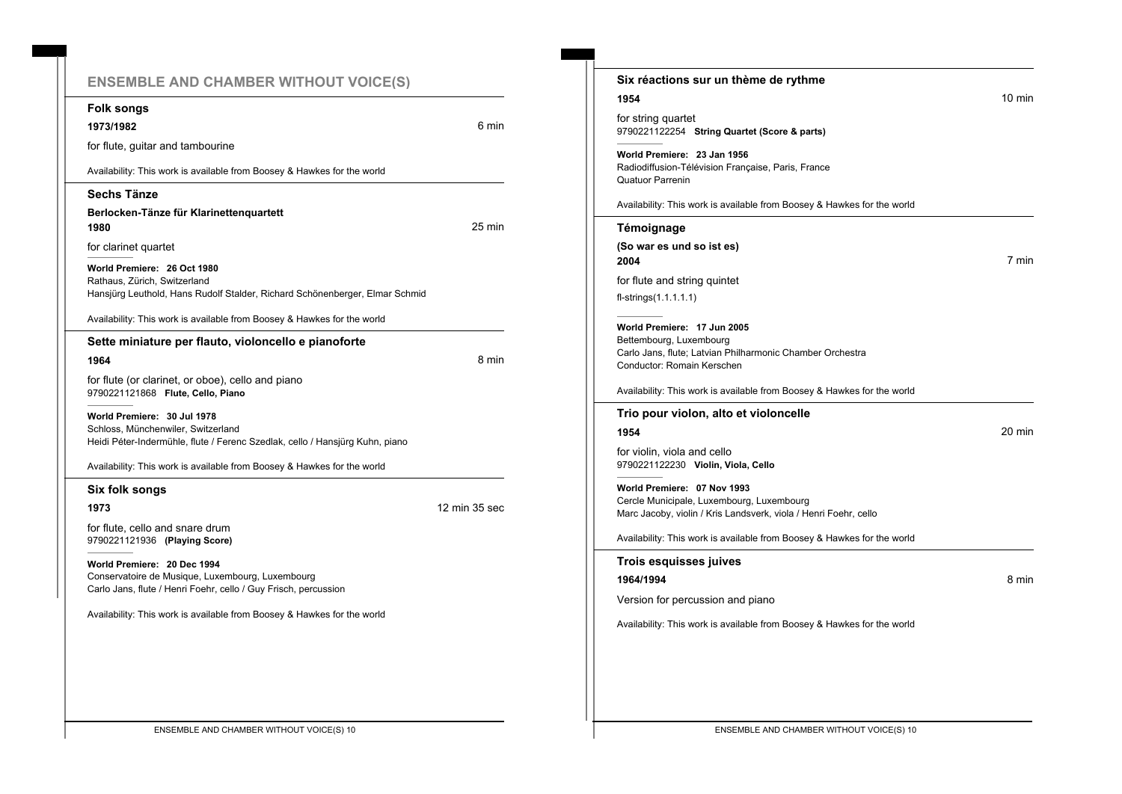# **ENSEMBLE AND CHAMBER WITHOUT VOICE(S)**

**1973/1982** 6 min

for flute, guitar and tambourine Availability: This work is available from Boosey & Hawkes for the world **Sechs Tänze Berlocken-Tänze für Klarinettenquartett 1980** 25 min for clarinet quartet **World Premiere: 26 Oct 1980** Rathaus, Zürich, Switzerland Hansjürg Leuthold, Hans Rudolf Stalder, Richard Schönenberger, Elmar Schmid Availability: This work is available from Boosey & Hawkes for the world **Sette miniature per flauto, violoncello e pianoforte 1964** 8 min for flute (or clarinet, or oboe), cello and piano 9790221121868 **Flute, Cello, Piano**

**World Premiere: 30 Jul 1978** Schloss, Münchenwiler, Switzerland Heidi Péter-Indermühle, flute / Ferenc Szedlak, cello / Hansjürg Kuhn, piano

Availability: This work is available from Boosey & Hawkes for the world

#### **Six folk songs**

**Folk songs**

**1973** 12 min 35 sec

for flute, cello and snare drum 9790221121936 **(Playing Score)**

**World Premiere: 20 Dec 1994** Conservatoire de Musique, Luxembourg, Luxembourg Carlo Jans, flute / Henri Foehr, cello / Guy Frisch, percussion

| Six réactions sur un thème de rythme                                                                                                              |  |
|---------------------------------------------------------------------------------------------------------------------------------------------------|--|
| 1954<br>for string quartet<br>9790221122254 String Quartet (Score & parts)                                                                        |  |
| World Premiere: 23 Jan 1956<br>Radiodiffusion-Télévision Française, Paris, France<br>Quatuor Parrenin                                             |  |
| Availability: This work is available from Boosey & Hawkes for the world                                                                           |  |
| Témoignage                                                                                                                                        |  |
| (So war es und so ist es)<br>2004                                                                                                                 |  |
| for flute and string quintet<br>$fl-strings(1.1.1.1.1)$                                                                                           |  |
| World Premiere: 17 Jun 2005<br>Bettembourg, Luxembourg<br>Carlo Jans, flute; Latvian Philharmonic Chamber Orchestra<br>Conductor: Romain Kerschen |  |
| Availability: This work is available from Boosey & Hawkes for the world                                                                           |  |
| Trio pour violon, alto et violoncelle                                                                                                             |  |
| 1954                                                                                                                                              |  |
| for violin, viola and cello<br>9790221122230 Violin, Viola, Cello                                                                                 |  |
| World Premiere: 07 Nov 1993<br>Cercle Municipale, Luxembourg, Luxembourg<br>Marc Jacoby, violin / Kris Landsverk, viola / Henri Foehr, cello      |  |
| Availability: This work is available from Boosey & Hawkes for the world                                                                           |  |
| <b>Trois esquisses juives</b>                                                                                                                     |  |
| 1964/1994                                                                                                                                         |  |
| Version for percussion and piano                                                                                                                  |  |
| Availability: This work is available from Boosey & Hawkes for the world                                                                           |  |
|                                                                                                                                                   |  |
|                                                                                                                                                   |  |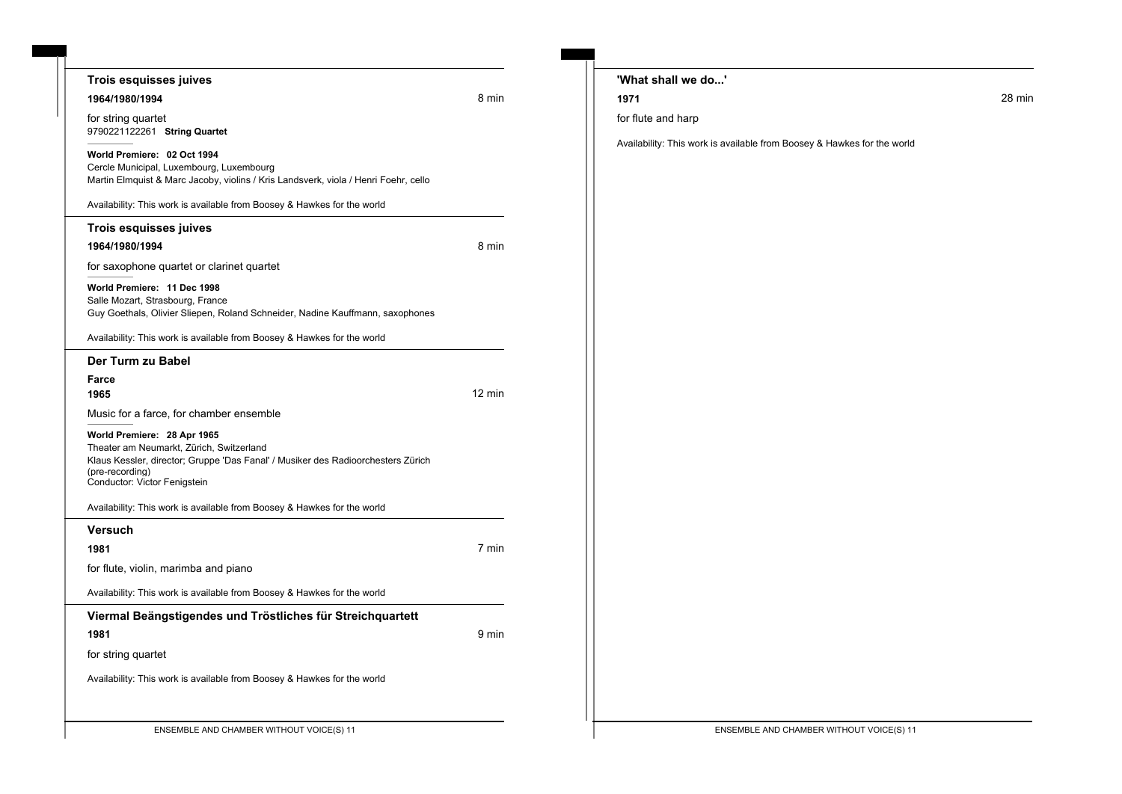| Trois esquisses juives                                                                                                                                                                                         |        | 'What shall we do' |                                                                         |        |
|----------------------------------------------------------------------------------------------------------------------------------------------------------------------------------------------------------------|--------|--------------------|-------------------------------------------------------------------------|--------|
| 1964/1980/1994                                                                                                                                                                                                 | 8 min  | 1971               |                                                                         | 28 min |
| for string quartet<br>9790221122261 String Quartet                                                                                                                                                             |        | for flute and harp |                                                                         |        |
| World Premiere: 02 Oct 1994<br>Cercle Municipal, Luxembourg, Luxembourg<br>Martin Elmquist & Marc Jacoby, violins / Kris Landsverk, viola / Henri Foehr, cello                                                 |        |                    | Availability: This work is available from Boosey & Hawkes for the world |        |
| Availability: This work is available from Boosey & Hawkes for the world                                                                                                                                        |        |                    |                                                                         |        |
| Trois esquisses juives                                                                                                                                                                                         |        |                    |                                                                         |        |
| 1964/1980/1994                                                                                                                                                                                                 | 8 min  |                    |                                                                         |        |
| for saxophone quartet or clarinet quartet                                                                                                                                                                      |        |                    |                                                                         |        |
| World Premiere: 11 Dec 1998<br>Salle Mozart, Strasbourg, France<br>Guy Goethals, Olivier Sliepen, Roland Schneider, Nadine Kauffmann, saxophones                                                               |        |                    |                                                                         |        |
| Availability: This work is available from Boosey & Hawkes for the world                                                                                                                                        |        |                    |                                                                         |        |
| Der Turm zu Babel                                                                                                                                                                                              |        |                    |                                                                         |        |
| Farce                                                                                                                                                                                                          |        |                    |                                                                         |        |
| 1965                                                                                                                                                                                                           | 12 min |                    |                                                                         |        |
| Music for a farce, for chamber ensemble                                                                                                                                                                        |        |                    |                                                                         |        |
| World Premiere: 28 Apr 1965<br>Theater am Neumarkt, Zürich, Switzerland<br>Klaus Kessler, director; Gruppe 'Das Fanal' / Musiker des Radioorchesters Zürich<br>(pre-recording)<br>Conductor: Victor Fenigstein |        |                    |                                                                         |        |
| Availability: This work is available from Boosey & Hawkes for the world                                                                                                                                        |        |                    |                                                                         |        |
| <b>Versuch</b>                                                                                                                                                                                                 |        |                    |                                                                         |        |
| 1981                                                                                                                                                                                                           | 7 min  |                    |                                                                         |        |
| for flute, violin, marimba and piano                                                                                                                                                                           |        |                    |                                                                         |        |
| Availability: This work is available from Boosey & Hawkes for the world                                                                                                                                        |        |                    |                                                                         |        |
| Viermal Beängstigendes und Tröstliches für Streichquartett                                                                                                                                                     |        |                    |                                                                         |        |
| 1981                                                                                                                                                                                                           | 9 min  |                    |                                                                         |        |
| for string quartet                                                                                                                                                                                             |        |                    |                                                                         |        |
| Availability: This work is available from Boosey & Hawkes for the world                                                                                                                                        |        |                    |                                                                         |        |
|                                                                                                                                                                                                                |        |                    |                                                                         |        |
|                                                                                                                                                                                                                |        |                    |                                                                         |        |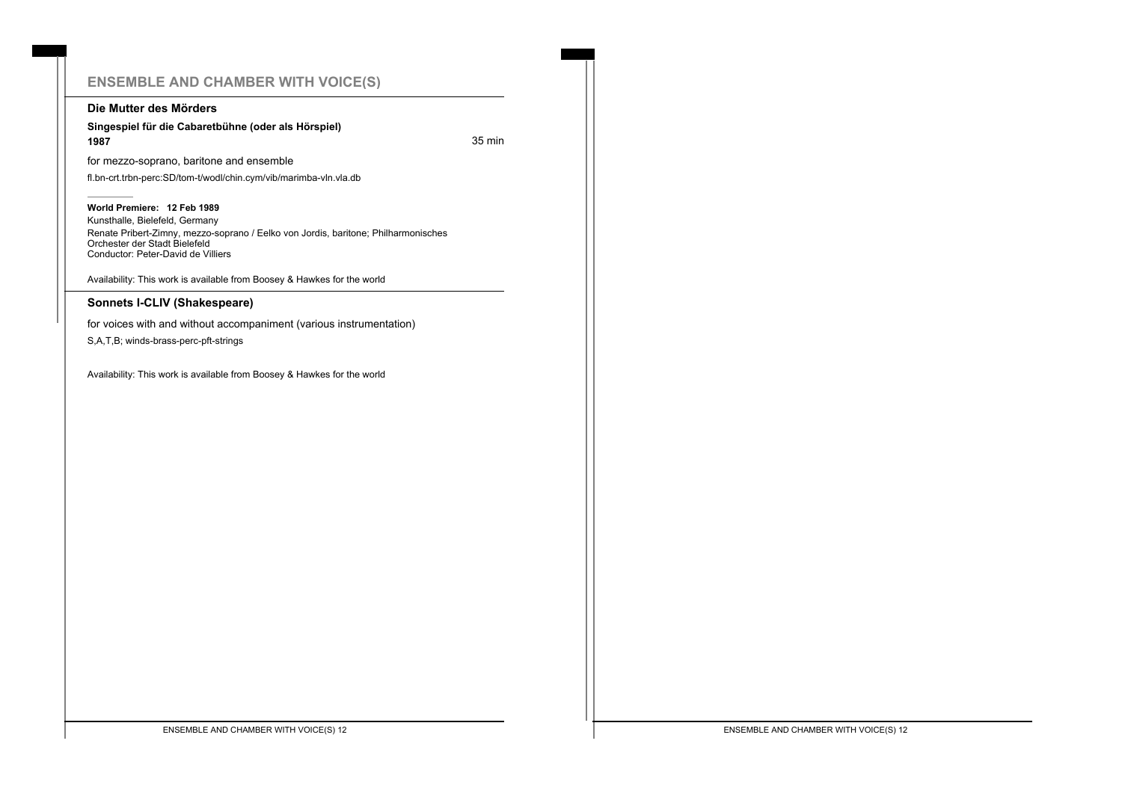# **ENSEMBLE AND CHAMBER WITH VOICE(S)**

#### **Die Mutter des Mörders**

#### **Singespiel für die Cabaretbühne (oder als Hörspiel) 1987** 35 min

for mezzo-soprano, baritone and ensemble

fl.bn-crt.trbn-perc:SD/tom-t/wodl/chin.cym/vib/marimba-vln.vla.db

#### **World Premiere: 12 Feb 1989**

Kunsthalle, Bielefeld, Germany Renate Pribert-Zimny, mezzo-soprano / Eelko von Jordis, baritone; Philharmonisches Orchester der Stadt Bielefeld Conductor: Peter-David de Villiers

Availability: This work is available from Boosey & Hawkes for the world

#### **Sonnets I-CLIV (Shakespeare)**

for voices with and without accompaniment (various instrumentation)

S,A,T,B; winds-brass-perc-pft-strings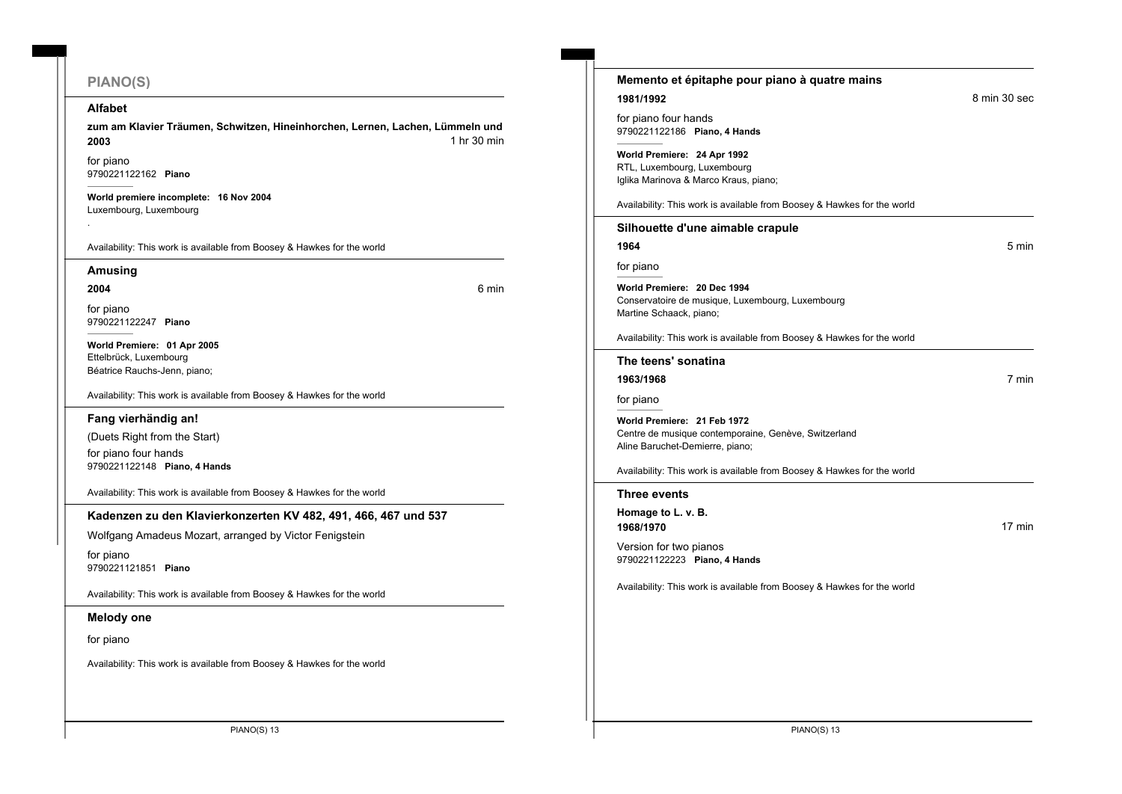# **PIANO(S)**

#### **Alfabet**

zum am Klavier Träumen, Schwitzen, Hineinhorchen, Lernen, Lachen, Lümmeln und **2003 1** hr 30 min

for piano 9790221122162 **Piano**

**World premiere incomplete: 16 Nov 2004** Luxembourg, Luxembourg

Availability: This work is available from Boosey & Hawkes for the world

#### **Amusing**

#### **2004** 6 min

.

for piano 9790221122247 **Piano**

**World Premiere: 01 Apr 2005** Ettelbrück, Luxembourg Béatrice Rauchs-Jenn, piano;

Availability: This work is available from Boosey & Hawkes for the world

#### **Fang vierhändig an!**

(Duets Right from the Start) for piano four hands 9790221122148 **Piano, 4 Hands**

Availability: This work is available from Boosey & Hawkes for the world

#### **Kadenzen zu den Klavierkonzerten KV 482, 491, 466, 467 und 537**

Wolfgang Amadeus Mozart, arranged by Victor Fenigstein

for piano 9790221121851 **Piano**

Availability: This work is available from Boosey & Hawkes for the world

#### **Melody one**

for piano

| Memento et épitaphe pour piano à quatre mains                                                                          |              |
|------------------------------------------------------------------------------------------------------------------------|--------------|
| 1981/1992                                                                                                              | 8 min 30 sec |
| for piano four hands<br>9790221122186 Piano, 4 Hands                                                                   |              |
| World Premiere: 24 Apr 1992<br>RTL, Luxembourg, Luxembourg<br>Iglika Marinova & Marco Kraus, piano;                    |              |
| Availability: This work is available from Boosey & Hawkes for the world                                                |              |
| Silhouette d'une aimable crapule                                                                                       |              |
| 1964                                                                                                                   | 5 min        |
| for piano                                                                                                              |              |
| World Premiere: 20 Dec 1994<br>Conservatoire de musique, Luxembourg, Luxembourg<br>Martine Schaack, piano;             |              |
| Availability: This work is available from Boosey & Hawkes for the world                                                |              |
| The teens' sonatina                                                                                                    |              |
| 1963/1968                                                                                                              | 7 min        |
| for piano                                                                                                              |              |
| World Premiere: 21 Feb 1972<br>Centre de musique contemporaine, Genève, Switzerland<br>Aline Baruchet-Demierre, piano; |              |
| Availability: This work is available from Boosey & Hawkes for the world                                                |              |
| <b>Three events</b>                                                                                                    |              |
| Homage to L. v. B.<br>1968/1970                                                                                        | 17 min       |
| Version for two pianos<br>9790221122223 Piano, 4 Hands                                                                 |              |
| Availability: This work is available from Boosey & Hawkes for the world                                                |              |
|                                                                                                                        |              |
|                                                                                                                        |              |
|                                                                                                                        |              |
|                                                                                                                        |              |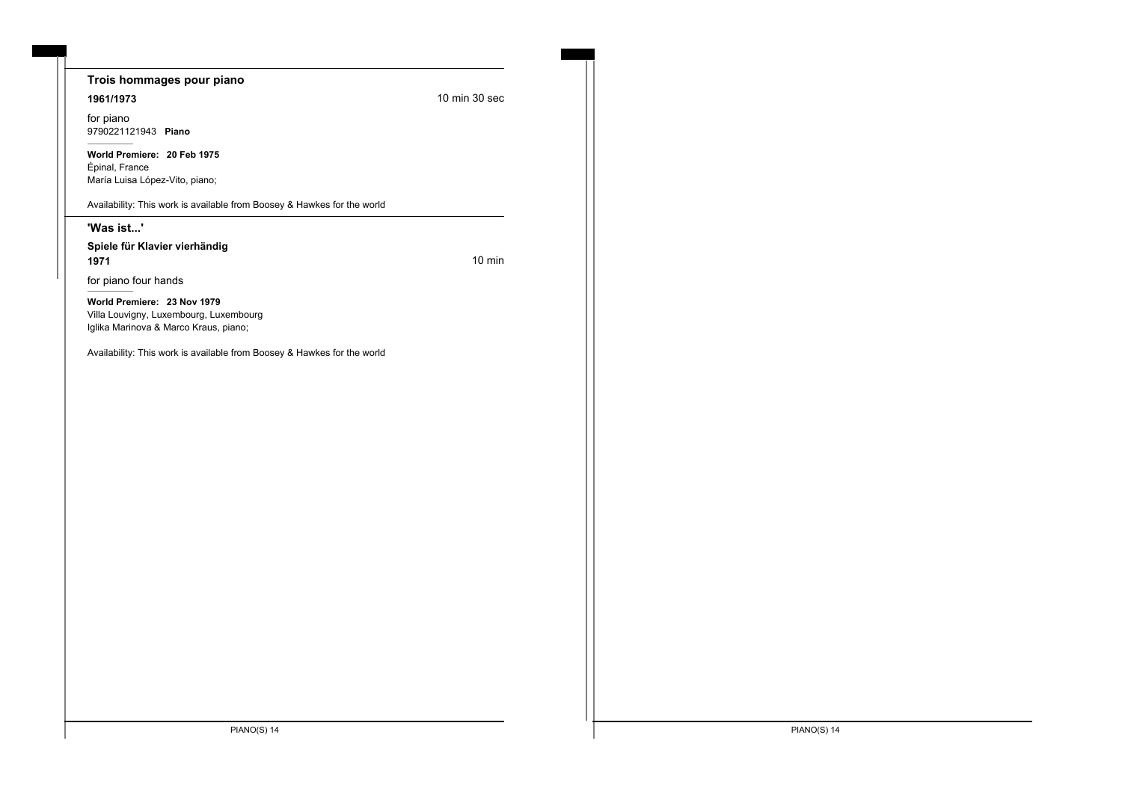#### **Trois hommages pour piano**

#### **1961/1973** 10 min 30 sec

for piano 9790221121943 **Piano**

**World Premiere: 20 Feb 1975** Épinal, France María Luisa López-Vito, piano;

Availability: This work is available from Boosey & Hawkes for the world

#### **'Was ist...'**

**Spiele für Klavier vierhändig 1971 10 minutes 10 minutes 10 minutes 10 minutes 10 minutes 10 minutes 10 minutes 10 minutes 10 minutes 10 minutes** 

for piano four hands

**World Premiere: 23 Nov 1979** Villa Louvigny, Luxembourg, Luxembourg Iglika Marinova & Marco Kraus, piano;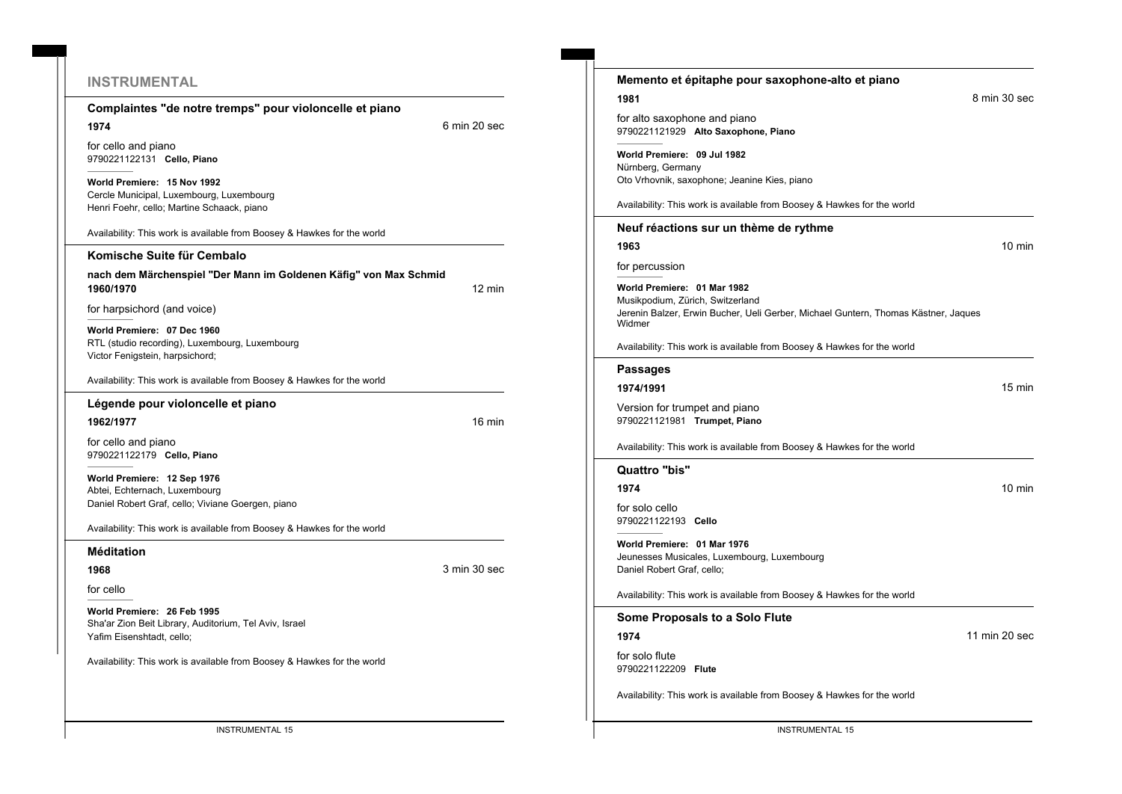### **INSTRUMENTAL**

**Complaintes "de notre tremps" pour violoncelle et piano**

**1974** 6 min 20 sec

for cello and piano 9790221122131 **Cello, Piano**

**World Premiere: 15 Nov 1992** Cercle Municipal, Luxembourg, Luxembourg Henri Foehr, cello; Martine Schaack, piano

Availability: This work is available from Boosey & Hawkes for the world

**Komische Suite für Cembalo nach dem Märchenspiel "Der Mann im Goldenen Käfig" von Max Schmid 1960/1970** 12 min

for harpsichord (and voice)

**World Premiere: 07 Dec 1960** RTL (studio recording), Luxembourg, Luxembourg Victor Fenigstein, harpsichord;

Availability: This work is available from Boosey & Hawkes for the world

**Légende pour violoncelle et piano**

**1962/1977** 16 min

for cello and piano 9790221122179 **Cello, Piano**

**World Premiere: 12 Sep 1976** Abtei, Echternach, Luxembourg Daniel Robert Graf, cello; Viviane Goergen, piano

Availability: This work is available from Boosey & Hawkes for the world

#### **Méditation**

**1968** 3 min 30 sec

for cello

**World Premiere: 26 Feb 1995** Sha'ar Zion Beit Library, Auditorium, Tel Aviv, Israel Yafim Eisenshtadt, cello;

| Memento et épitaphe pour saxophone-alto et piano                                                                                                                |                  |
|-----------------------------------------------------------------------------------------------------------------------------------------------------------------|------------------|
| 1981                                                                                                                                                            | 8 min 30 sec     |
| for alto saxophone and piano<br>9790221121929 Alto Saxophone, Piano                                                                                             |                  |
| World Premiere: 09 Jul 1982<br>Nürnberg, Germany<br>Oto Vrhovnik, saxophone; Jeanine Kies, piano                                                                |                  |
| Availability: This work is available from Boosey & Hawkes for the world                                                                                         |                  |
| Neuf réactions sur un thème de rythme                                                                                                                           |                  |
| 1963                                                                                                                                                            | $10 \text{ min}$ |
| for percussion                                                                                                                                                  |                  |
| World Premiere: 01 Mar 1982<br>Musikpodium, Zürich, Switzerland<br>Jerenin Balzer, Erwin Bucher, Ueli Gerber, Michael Guntern, Thomas Kästner, Jaques<br>Widmer |                  |
| Availability: This work is available from Boosey & Hawkes for the world                                                                                         |                  |
| <b>Passages</b>                                                                                                                                                 |                  |
| 1974/1991                                                                                                                                                       | $15 \text{ min}$ |
| Version for trumpet and piano<br>9790221121981 Trumpet, Piano                                                                                                   |                  |
| Availability: This work is available from Boosey & Hawkes for the world                                                                                         |                  |
| Quattro "bis"                                                                                                                                                   |                  |
| 1974                                                                                                                                                            | $10 \text{ min}$ |
| for solo cello<br>9790221122193 Cello                                                                                                                           |                  |
| World Premiere: 01 Mar 1976<br>Jeunesses Musicales, Luxembourg, Luxembourg<br>Daniel Robert Graf, cello;                                                        |                  |
| Availability: This work is available from Boosey & Hawkes for the world                                                                                         |                  |
| Some Proposals to a Solo Flute                                                                                                                                  |                  |
| 1974                                                                                                                                                            | 11 min 20 sec    |
| for solo flute<br>9790221122209 Flute                                                                                                                           |                  |
| Availability: This work is available from Boosey & Hawkes for the world                                                                                         |                  |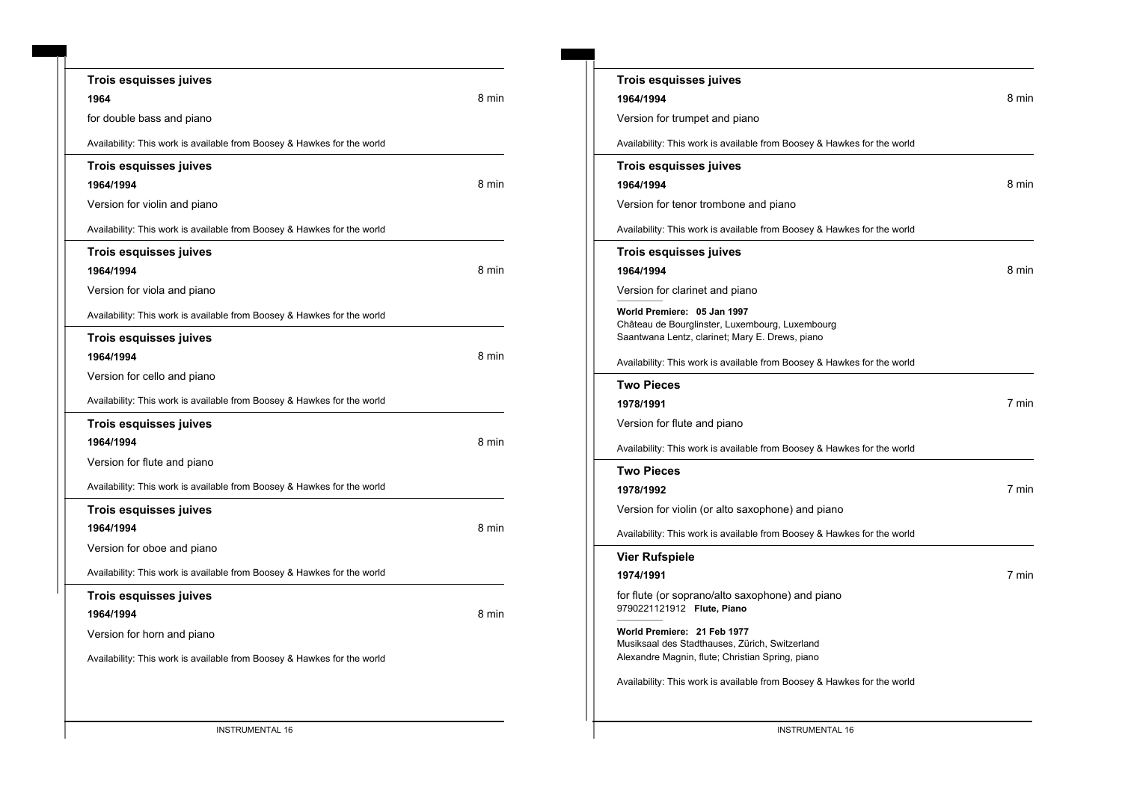|           | <b>Trois esquisses juives</b>                                           |       |
|-----------|-------------------------------------------------------------------------|-------|
| 1964      |                                                                         | 8 min |
|           | for double bass and piano                                               |       |
|           | Availability: This work is available from Boosey & Hawkes for the world |       |
|           | <b>Trois esquisses juives</b>                                           |       |
| 1964/1994 |                                                                         | 8 min |
|           | Version for violin and piano                                            |       |
|           | Availability: This work is available from Boosey & Hawkes for the world |       |
|           | Trois esquisses juives                                                  |       |
| 1964/1994 |                                                                         | 8 min |
|           | Version for viola and piano                                             |       |
|           | Availability: This work is available from Boosey & Hawkes for the world |       |
|           | Trois esquisses juives                                                  |       |
| 1964/1994 |                                                                         | 8 min |
|           | Version for cello and piano                                             |       |
|           | Availability: This work is available from Boosey & Hawkes for the world |       |
|           | Trois esquisses juives                                                  |       |
| 1964/1994 |                                                                         | 8 min |
|           | Version for flute and piano                                             |       |
|           | Availability: This work is available from Boosey & Hawkes for the world |       |
|           | <b>Trois esquisses juives</b>                                           |       |
| 1964/1994 |                                                                         | 8 min |
|           | Version for oboe and piano                                              |       |
|           | Availability: This work is available from Boosey & Hawkes for the world |       |
|           | Trois esquisses juives                                                  |       |
| 1964/1994 |                                                                         | 8 min |
|           | Version for horn and piano                                              |       |
|           | Availability: This work is available from Boosey & Hawkes for the world |       |

| Trois esquisses juives                                                                                                            |       |
|-----------------------------------------------------------------------------------------------------------------------------------|-------|
| 1964/1994                                                                                                                         | 8 min |
| Version for trumpet and piano                                                                                                     |       |
| Availability: This work is available from Boosey & Hawkes for the world                                                           |       |
| Trois esquisses juives                                                                                                            |       |
| 1964/1994                                                                                                                         | 8 min |
| Version for tenor trombone and piano                                                                                              |       |
| Availability: This work is available from Boosey & Hawkes for the world                                                           |       |
| Trois esquisses juives                                                                                                            |       |
| 1964/1994                                                                                                                         | 8 min |
| Version for clarinet and piano                                                                                                    |       |
| World Premiere: 05 Jan 1997<br>Château de Bourglinster, Luxembourg, Luxembourg<br>Saantwana Lentz, clarinet; Mary E. Drews, piano |       |
| Availability: This work is available from Boosey & Hawkes for the world                                                           |       |
| Two Pieces                                                                                                                        |       |
| 1978/1991                                                                                                                         | 7 min |
| Version for flute and piano                                                                                                       |       |
| Availability: This work is available from Boosey & Hawkes for the world                                                           |       |
| Two Pieces                                                                                                                        |       |
| 1978/1992                                                                                                                         | 7 min |
| Version for violin (or alto saxophone) and piano                                                                                  |       |
| Availability: This work is available from Boosey & Hawkes for the world                                                           |       |
| Vier Rufspiele                                                                                                                    |       |
| 1974/1991                                                                                                                         | 7 min |
| for flute (or soprano/alto saxophone) and piano<br>9790221121912 Flute, Piano                                                     |       |
| World Premiere: 21 Feb 1977<br>Musiksaal des Stadthauses, Zürich, Switzerland<br>Alexandre Magnin, flute; Christian Spring, piano |       |
| Availability: This work is available from Boosey & Hawkes for the world                                                           |       |
|                                                                                                                                   |       |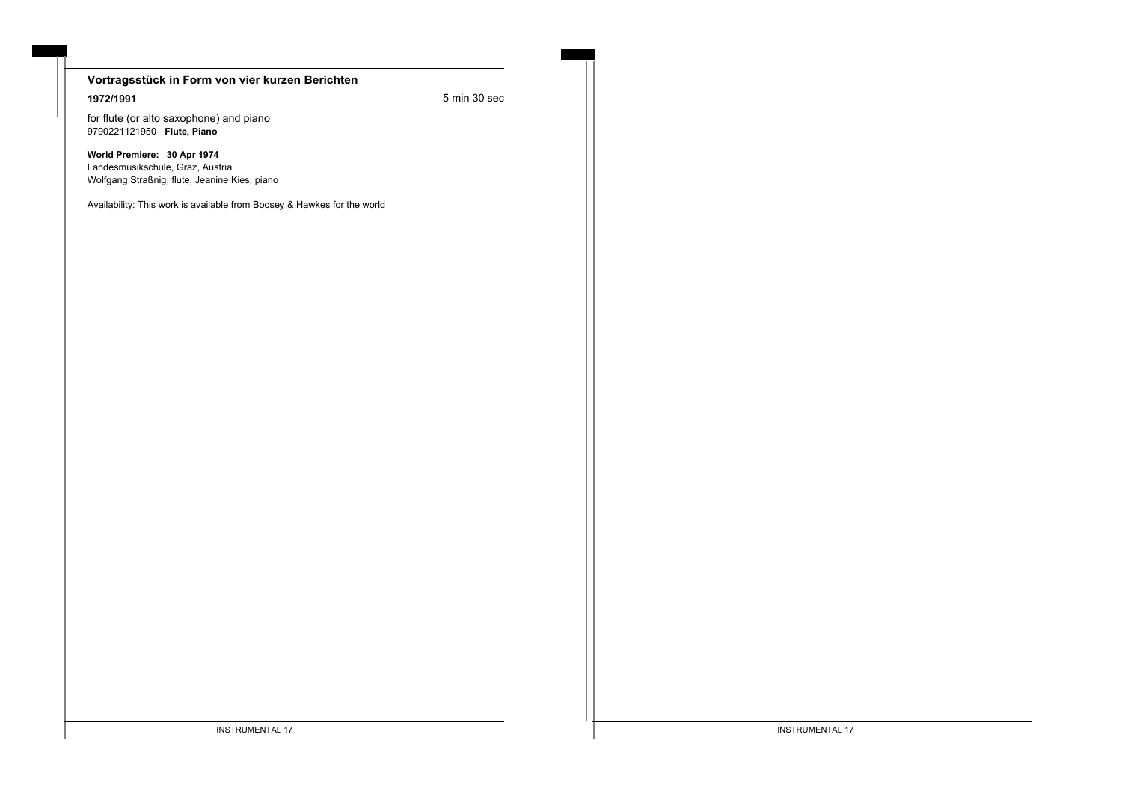# **Vortragsstück in Form von vier kurzen Berichten**

**1972/1991** 5 min 30 sec

for flute (or alto saxophone) and piano 9790221121950 **Flute, Piano**

**World Premiere: 30 Apr 1974** Landesmusikschule, Graz, Austria Wolfgang Straßnig, flute; Jeanine Kies, piano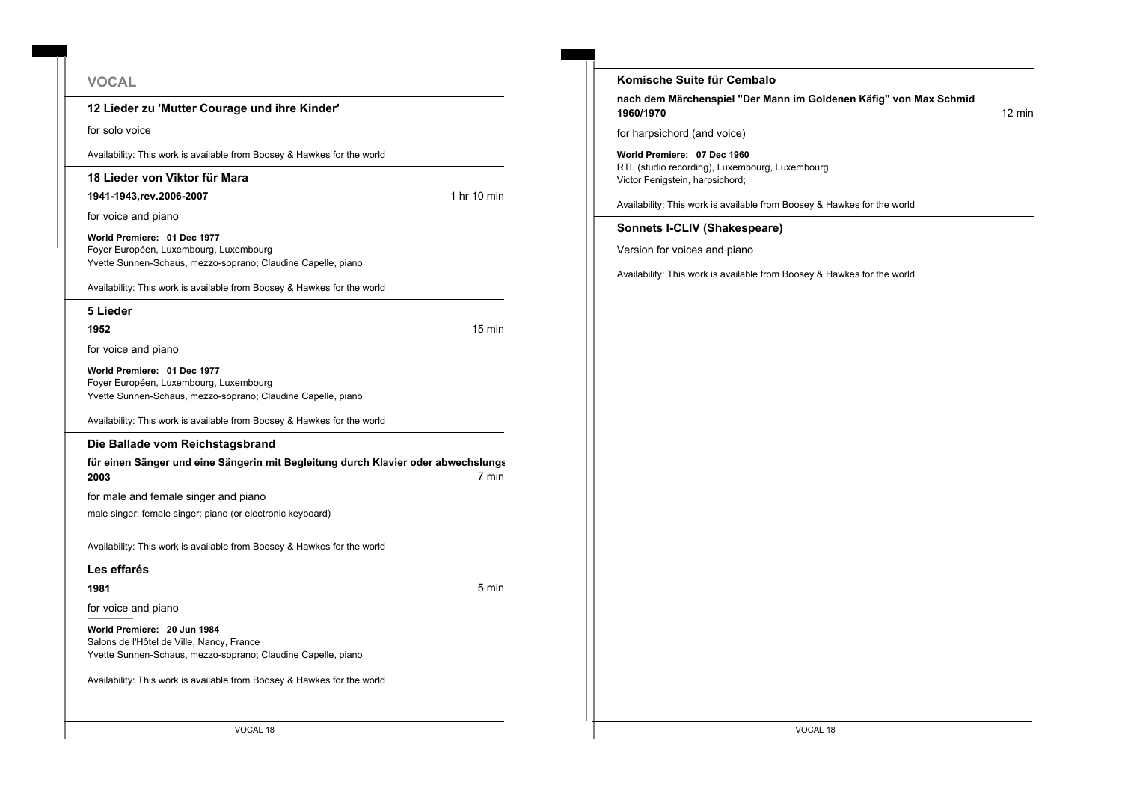#### **VOCAL**

**12 Lieder zu 'Mutter Courage und ihre Kinder'**

for solo voice

Availability: This work is available from Boosey & Hawkes for the world

#### **18 Lieder von Viktor für Mara**

**1941-1943,rev.2006-2007** 1 hr 10 min

for voice and piano

**World Premiere: 01 Dec 1977** Foyer Européen, Luxembourg, Luxembourg Yvette Sunnen-Schaus, mezzo-soprano; Claudine Capelle, piano

Availability: This work is available from Boosey & Hawkes for the world

**5 Lieder**

**1952** 15 min

for voice and piano

**World Premiere: 01 Dec 1977** Foyer Européen, Luxembourg, Luxembourg Yvette Sunnen-Schaus, mezzo-soprano; Claudine Capelle, piano

Availability: This work is available from Boosey & Hawkes for the world

#### **Die Ballade vom Reichstagsbrand**

für einen Sänger und eine Sängerin mit Begleitung durch Klavier oder abwechslungs **2003** 7 min

for male and female singer and piano

male singer; female singer; piano (or electronic keyboard)

Availability: This work is available from Boosey & Hawkes for the world

**Les effarés**

**1981** 5 min

for voice and piano

**World Premiere: 20 Jun 1984** Salons de l'Hôtel de Ville, Nancy, France Yvette Sunnen-Schaus, mezzo-soprano; Claudine Capelle, piano

Availability: This work is available from Boosey & Hawkes for the world

**Komische Suite für Cembalo nach dem Märchenspiel "Der Mann im Goldenen Käfig" von Max Schmid 1960/1970** 12 min for harpsichord (and voice) **World Premiere: 07 Dec 1960** RTL (studio recording), Luxembourg, Luxembourg Victor Fenigstein, harpsichord; Availability: This work is available from Boosey & Hawkes for the world **Sonnets I-CLIV (Shakespeare)** Version for voices and piano Availability: This work is available from Boosey & Hawkes for the world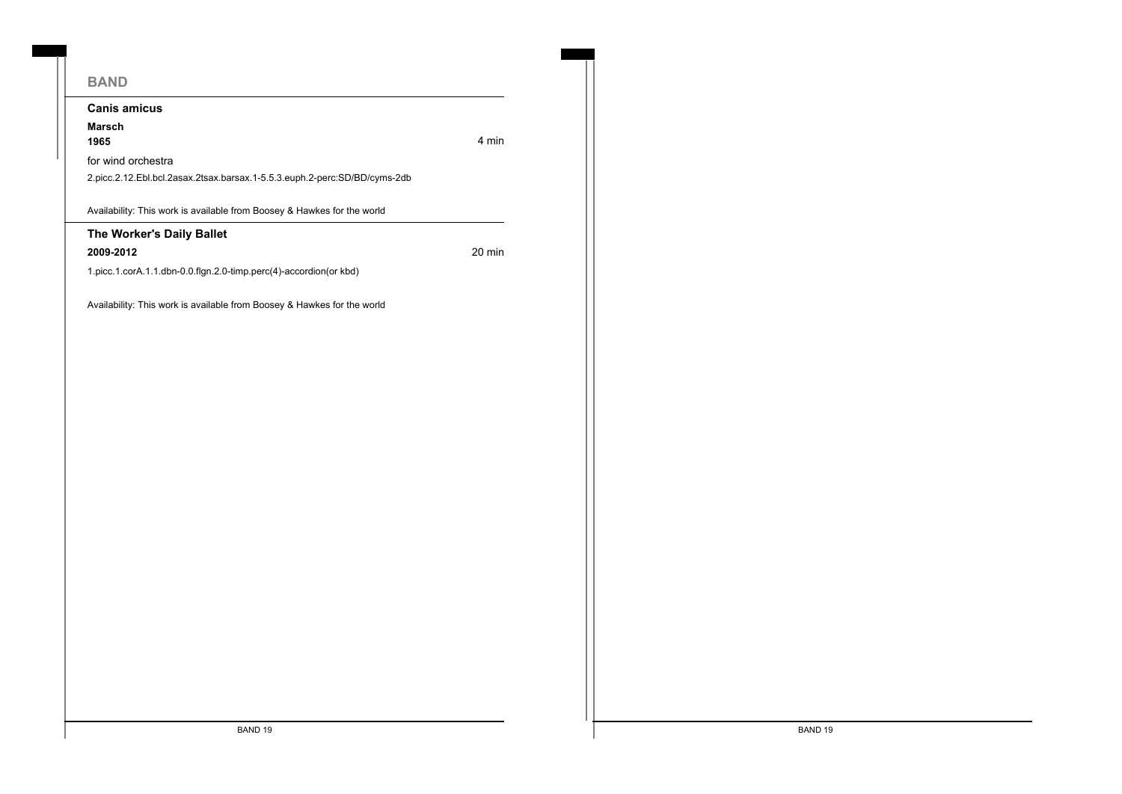# **BAND Canis amicus Marsch 1965** 4 min for wind orchestra 2.picc.2.12.Ebl.bcl.2asax.2tsax.barsax.1-5.5.3.euph.2-perc:SD/BD/cyms-2db Availability: This work is available from Boosey & Hawkes for the world **The Worker's Daily Ballet 2009-2012** 20 min 1.picc.1.corA.1.1.dbn-0.0.flgn.2.0-timp.perc(4)-accordion(or kbd) Availability: This work is available from Boosey & Hawkes for the world